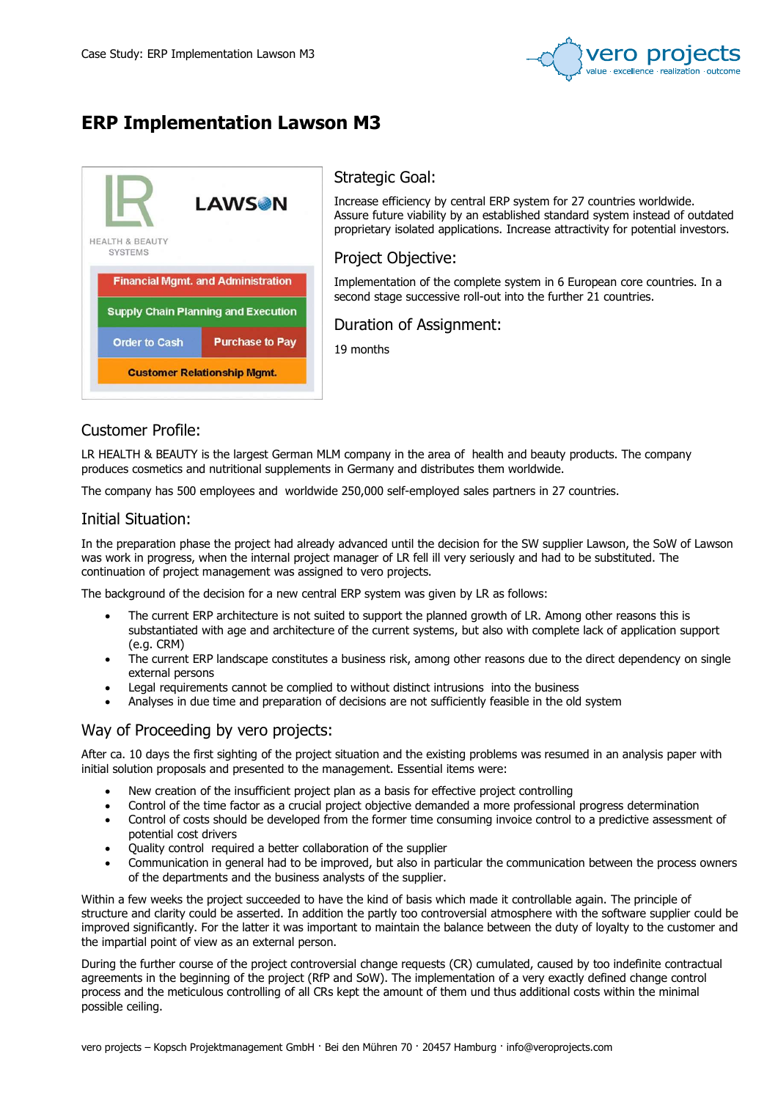

# ERP Implementation Lawson M3



### Strategic Goal:

Increase efficiency by central ERP system for 27 countries worldwide. Assure future viability by an established standard system instead of outdated proprietary isolated applications. Increase attractivity for potential investors.

Project Objective:

Implementation of the complete system in 6 European core countries. In a second stage successive roll-out into the further 21 countries.

Duration of Assignment:

19 months

## Customer Profile:

LR HEALTH & BEAUTY is the largest German MLM company in the area of health and beauty products. The company produces cosmetics and nutritional supplements in Germany and distributes them worldwide.

The company has 500 employees and worldwide 250,000 self-employed sales partners in 27 countries.

### Initial Situation:

In the preparation phase the project had already advanced until the decision for the SW supplier Lawson, the SoW of Lawson was work in progress, when the internal project manager of LR fell ill very seriously and had to be substituted. The continuation of project management was assigned to vero projects.

The background of the decision for a new central ERP system was given by LR as follows:

- The current ERP architecture is not suited to support the planned growth of LR. Among other reasons this is substantiated with age and architecture of the current systems, but also with complete lack of application support (e.g. CRM)
- The current ERP landscape constitutes a business risk, among other reasons due to the direct dependency on single external persons
- Legal requirements cannot be complied to without distinct intrusions into the business
- Analyses in due time and preparation of decisions are not sufficiently feasible in the old system

## Way of Proceeding by vero projects:

After ca. 10 days the first sighting of the project situation and the existing problems was resumed in an analysis paper with initial solution proposals and presented to the management. Essential items were:

- New creation of the insufficient project plan as a basis for effective project controlling
- Control of the time factor as a crucial project objective demanded a more professional progress determination
- Control of costs should be developed from the former time consuming invoice control to a predictive assessment of potential cost drivers
- Quality control required a better collaboration of the supplier
- Communication in general had to be improved, but also in particular the communication between the process owners of the departments and the business analysts of the supplier.

Within a few weeks the project succeeded to have the kind of basis which made it controllable again. The principle of structure and clarity could be asserted. In addition the partly too controversial atmosphere with the software supplier could be improved significantly. For the latter it was important to maintain the balance between the duty of loyalty to the customer and the impartial point of view as an external person.

During the further course of the project controversial change requests (CR) cumulated, caused by too indefinite contractual agreements in the beginning of the project (RfP and SoW). The implementation of a very exactly defined change control process and the meticulous controlling of all CRs kept the amount of them und thus additional costs within the minimal possible ceiling.